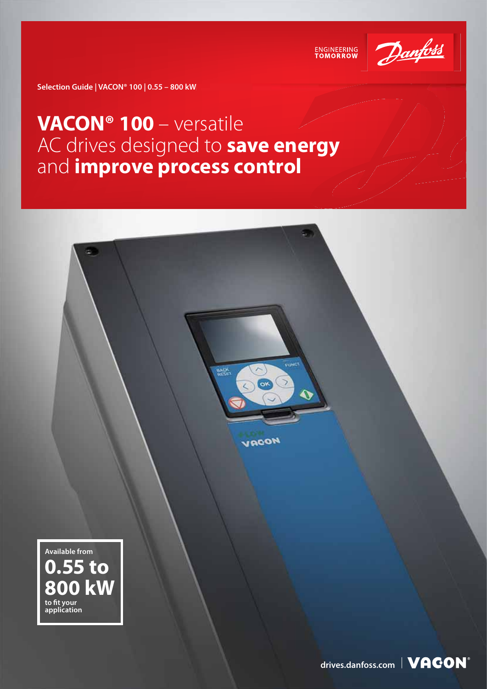

ENGINEERING<br>TOMORROW

**Selection Guide | VACON® 100 | 0.55 – 800 kW W**

### **VACON® 100** – versatile AC drives designed to **save energy**  and **improve process control**

**NACK** 

ox

VRCON



[drives.danfoss.com](http://drives.danfoss.com) | **VACON**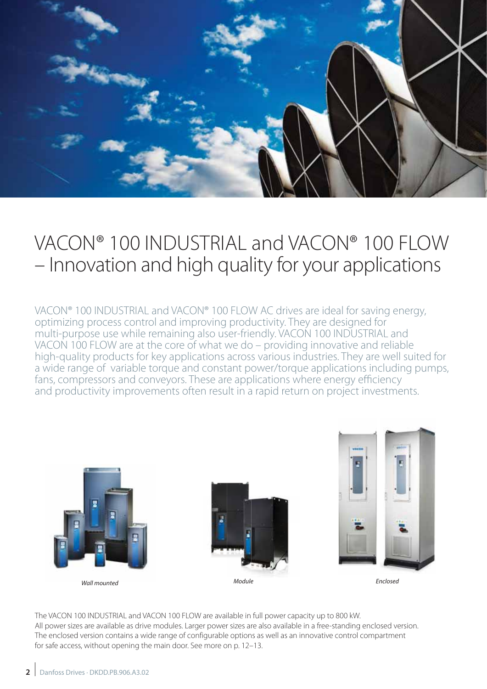

### VACON® 100 INDUSTRIAL and VACON® 100 FLOW – Innovation and high quality for your applications

VACON® 100 INDUSTRIAL and VACON® 100 FLOW AC drives are ideal for saving energy, optimizing process control and improving productivity. They are designed for multi-purpose use while remaining also user-friendly. VACON 100 INDUSTRIAL and VACON 100 FLOW are at the core of what we do – providing innovative and reliable high-quality products for key applications across various industries. They are well suited for a wide range of variable torque and constant power/torque applications including pumps, fans, compressors and conveyors. These are applications where energy efficiency and productivity improvements often result in a rapid return on project investments.



The VACON 100 INDUSTRIAL and VACON 100 FLOW are available in full power capacity up to 800 kW. All power sizes are available as drive modules. Larger power sizes are also available in a free-standing enclosed version. The enclosed version contains a wide range of configurable options as well as an innovative control compartment for safe access, without opening the main door. See more on p. 12–13.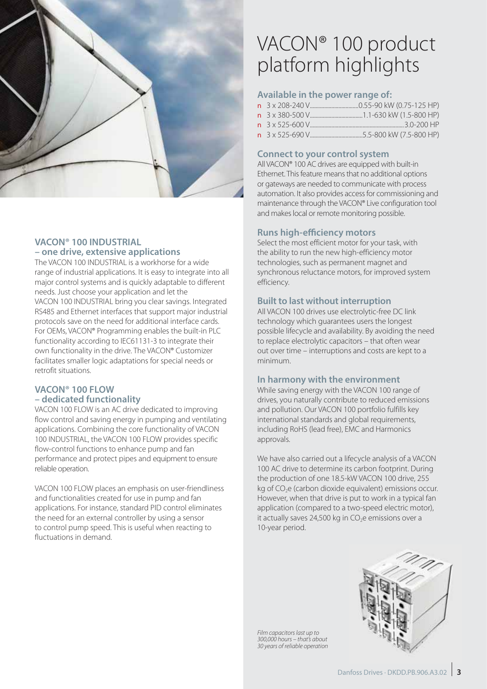

### **VACON® 100 INDUSTRIAL – one drive, extensive applications**

The VACON 100 INDUSTRIAL is a workhorse for a wide range of industrial applications. It is easy to integrate into all major control systems and is quickly adaptable to different needs. Just choose your application and let the VACON 100 INDUSTRIAL bring you clear savings. Integrated RS485 and Ethernet interfaces that support major industrial protocols save on the need for additional interface cards. For OEMs, VACON® Programming enables the built-in PLC functionality according to IEC61131-3 to integrate their own functionality in the drive. The VACON® Customizer facilitates smaller logic adaptations for special needs or retrofit situations.

### **VACON® 100 FLOW – dedicated functionality**

VACON 100 FLOW is an AC drive dedicated to improving flow control and saving energy in pumping and ventilating applications. Combining the core functionality of VACON 100 INDUSTRIAL, the VACON 100 FLOW provides specific flow-control functions to enhance pump and fan performance and protect pipes and equipment to ensure reliable operation.

VACON 100 FLOW places an emphasis on user-friendliness and functionalities created for use in pump and fan applications. For instance, standard PID control eliminates the need for an external controller by using a sensor to control pump speed. This is useful when reacting to fluctuations in demand.

### VACON® 100 product platform highlights

### **Available in the power range of:**

### **Connect to your control system**

All VACON® 100 AC drives are equipped with built-in Ethernet. This feature means that no additional options or gateways are needed to communicate with process automation. It also provides access for commissioning and maintenance through the VACON® Live configuration tool and makes local or remote monitoring possible.

### **Runs high-efficiency motors**

Select the most efficient motor for your task, with the ability to run the new high-efficiency motor technologies, such as permanent magnet and synchronous reluctance motors, for improved system efficiency.

#### **Built to last without interruption**

All VACON 100 drives use electrolytic-free DC link technology which guarantees users the longest possible lifecycle and availability. By avoiding the need to replace electrolytic capacitors – that often wear out over time – interruptions and costs are kept to a minimum.

#### **In harmony with the environment**

While saving energy with the VACON 100 range of drives, you naturally contribute to reduced emissions and pollution. Our VACON 100 portfolio fulfills key international standards and global requirements, including RoHS (lead free), EMC and Harmonics approvals.

We have also carried out a lifecycle analysis of a VACON 100 AC drive to determine its carbon footprint. During the production of one 18.5-kW VACON 100 drive, 255 kg of CO<sub>2</sub>e (carbon dioxide equivalent) emissions occur. However, when that drive is put to work in a typical fan application (compared to a two-speed electric motor), it actually saves  $24,500$  kg in  $CO<sub>2</sub>e$  emissions over a 10-year period.



Film capacitors last up to 300,000 hours – that's about 30 years of reliable operation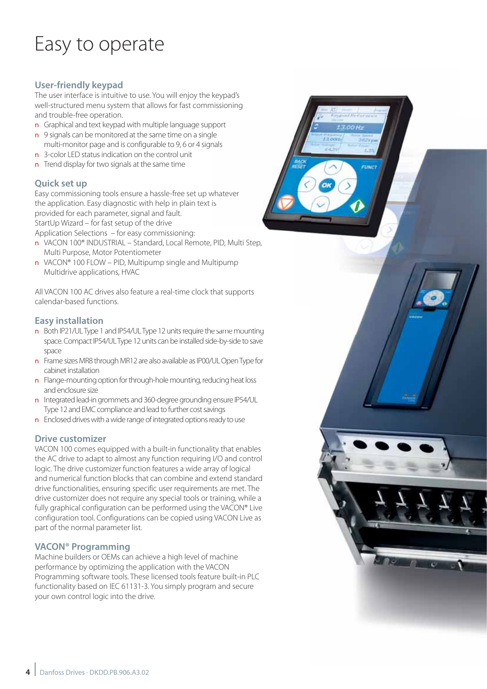## Easy to operate

### **User-friendly keypad**

The user interface is intuitive to use. You will enjoy the keypad's well-structured menu system that allows for fast commissioning and trouble-free operation.

- n Graphical and text keypad with multiple language support
- n 9 signals can be monitored at the same time on a single
- multi-monitor page and is configurable to 9, 6 or 4 signals
- **n** 3-color LED status indication on the control unit
- **n** Trend display for two signals at the same time

### **Quick set up**

Easy commissioning tools ensure a hassle-free set up whatever the application. Easy diagnostic with help in plain text is provided for each parameter, signal and fault. StartUp Wizard – for fast setup of the drive Application Selections – for easy commissioning: missioning<br>upport<br>gle<br>gnals<br>whatever<br>t is<br>e, PID, Multi Step,

n VACON 100® INDUSTRIAL – Standard, Local Remote, PID, Multi Step,

- Multi Purpose, Motor Potentiometer
- n VACON® 100 FLOW PID, Multipump single and Multipump Multidrive applications, HVAC **n** VACON® 100 FLOW – PID, Multipump single and Multipump<br>Multidrive applications, HVAC<br>All VACON 100 AC drives also feature a real-time clock that supports

calendar-based functions.

### **Easy installation**

- **n** Both IP21/UL Type 1 and IP54/UL Type 12 units require the same mounting space. Compact IP54/UL Type 12 units can be installed side-by-side to save space
- n Frame sizes MR8 through MR12 are also available as IP00/UL Open Type for cabinet installation
- n Flange-mounting option for through-hole mounting, reducing heat loss and enclosure size
- n Integrated lead-in grommets and 360-degree grounding ensure IP54/UL Type 12 and EMC compliance and lead to further cost savings
- n Enclosed drives with a wide range of integrated options ready to use

### **Drive customizer**

VACON 100 comes equipped with a built-in functionality that enables the AC drive to adapt to almost any function requiring I/O and control logic. The drive customizer function features a wide array of logical and numerical function blocks that can combine and extend standard drive functionalities, ensuring specific user requirements are met. The drive customizer does not require any special tools or training, while a fully graphical configuration can be performed using the VACON® Live configuration tool. Configurations can be copied using VACON Live as part of the normal parameter list.

### **VACON® Programming**

Machine builders or OEMs can achieve a high level of machine performance by optimizing the application with the VACON Programming software tools. These licensed tools feature built-in PLC functionality based on IEC 61131-3. You simply program and secure your own control logic into the drive.

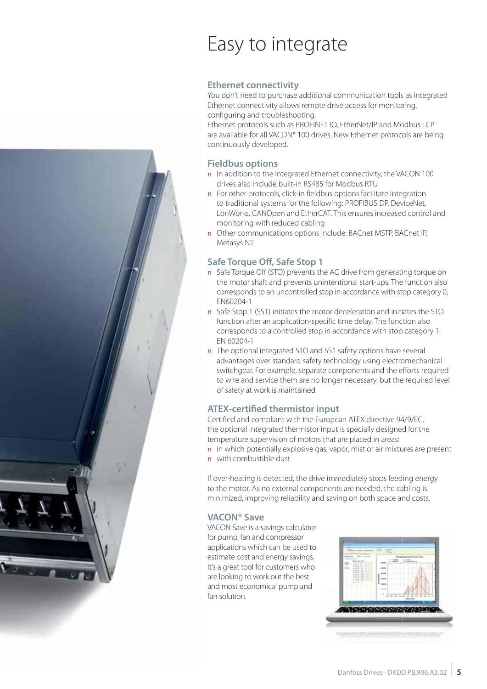

# Easy to integrate

### **Ethernet connectivity**

You don't need to purchase additional communication tools as integrated Ethernet connectivity allows remote drive access for monitoring, configuring and troubleshooting.

Ethernet protocols such as PROFINET IO, EtherNet/IP and Modbus TCP are available for all VACON® 100 drives. New Ethernet protocols are being continuously developed.

### **Fieldbus options**

- n In addition to the integrated Ethernet connectivity, the VACON 100 drives also include built-in RS485 for Modbus RTU
- n For other protocols, click-in fieldbus options facilitate integration to traditional systems for the following: PROFIBUS DP, DeviceNet, LonWorks, CANOpen and EtherCAT. This ensures increased control and monitoring with reduced cabling
- n Other communications options include: BACnet MSTP, BACnet IP, Metasys N2

### **Safe Torque Off, Safe Stop 1**

- n Safe Torque Off (STO) prevents the AC drive from generating torque on the motor shaft and prevents unintentional start-ups. The function also corresponds to an uncontrolled stop in accordance with stop category 0, EN60204-1
- n Safe Stop 1 (SS1) initiates the motor deceleration and initiates the STO function after an application-specific time delay. The function also corresponds to a controlled stop in accordance with stop category 1, EN 60204-1
- n The optional integrated STO and SS1 safety options have several advantages over standard safety technology using electromechanical switchgear. For example, separate components and the efforts required to wire and service them are no longer necessary, but the required level of safety at work is maintained

### **ATEX-certified thermistor input**

Certified and compliant with the European ATEX directive 94/9/EC, the optional integrated thermistor input is specially designed for the temperature supervision of motors that are placed in areas:

n in which potentially explosive gas, vapor, mist or air mixtures are present n with combustible dust

If over-heating is detected, the drive immediately stops feeding energy to the motor. As no external components are needed, the cabling is minimized, improving reliability and saving on both space and costs.

### **VACON® Save**

VACON Save is a savings calculator for pump, fan and compressor applications which can be used to estimate cost and energy savings. It's a great tool for customers who are looking to work out the best and most economical pump and fan solution.

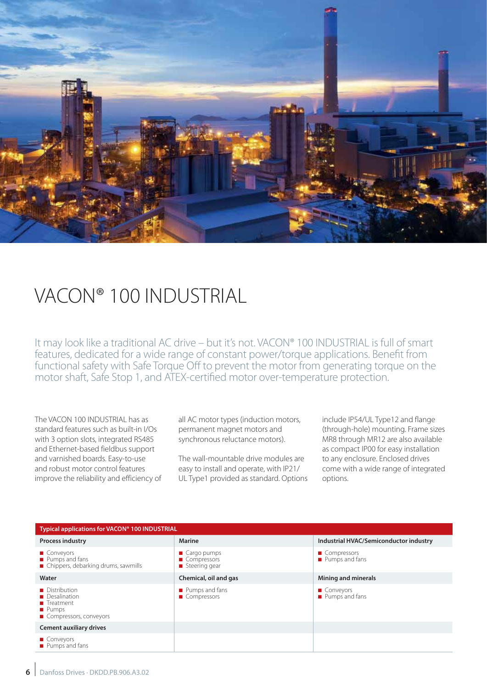

### VACON® 100 INDUSTRIAL

It may look like a traditional AC drive – but it's not. VACON® 100 INDUSTRIAL is full of smart features, dedicated for a wide range of constant power/torque applications. Benefit from functional safety with Safe Torque Off to prevent the motor from generating torque on the motor shaft, Safe Stop 1, and ATEX-certified motor over-temperature protection.

The VACON 100 INDUSTRIAL has as standard features such as built-in I/Os with 3 option slots, integrated RS485 and Ethernet-based fieldbus support and varnished boards. Easy-to-use and robust motor control features improve the reliability and efficiency of all AC motor types (induction motors, permanent magnet motors and synchronous reluctance motors).

The wall-mountable drive modules are easy to install and operate, with IP21/ UL Type1 provided as standard. Options include IP54/UL Type12 and flange (through-hole) mounting. Frame sizes MR8 through MR12 are also available as compact IP00 for easy installation to any enclosure. Enclosed drives come with a wide range of integrated options.

| Typical applications for VACON® 100 INDUSTRIAL                                                            |                                                                             |                                        |  |  |  |  |  |  |  |
|-----------------------------------------------------------------------------------------------------------|-----------------------------------------------------------------------------|----------------------------------------|--|--|--|--|--|--|--|
| <b>Process industry</b>                                                                                   | <b>Marine</b>                                                               | Industrial HVAC/Semiconductor industry |  |  |  |  |  |  |  |
| ■ Conveyors<br>Pumps and fans<br>■ Chippers, debarking drums, sawmills                                    | $\blacksquare$ Cargo pumps<br>■ Compressors<br>$\blacksquare$ Steering gear | ■ Compressors<br>Pumps and fans        |  |  |  |  |  |  |  |
| Water                                                                                                     | Chemical, oil and gas                                                       | <b>Mining and minerals</b>             |  |  |  |  |  |  |  |
| Distribution<br><b>Desalination</b><br>$\blacksquare$ Treatment<br><b>Pumps</b><br>Compressors, conveyors | Pumps and fans<br>■ Compressors                                             | Conveyors<br>Pumps and fans            |  |  |  |  |  |  |  |
| <b>Cement auxiliary drives</b>                                                                            |                                                                             |                                        |  |  |  |  |  |  |  |
| ■ Conveyors<br>Pumps and fans                                                                             |                                                                             |                                        |  |  |  |  |  |  |  |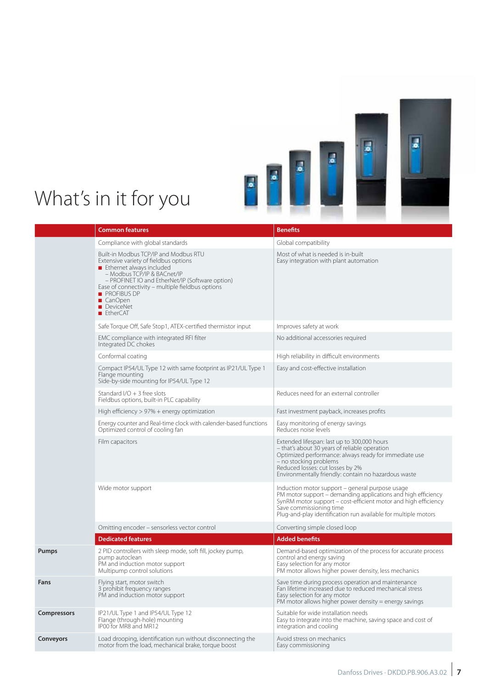

# What's in it for you

|                    | <b>Common features</b>                                                                                                                                                                                                                                                                                                      | <b>Benefits</b>                                                                                                                                                                                                                                                                 |  |  |  |
|--------------------|-----------------------------------------------------------------------------------------------------------------------------------------------------------------------------------------------------------------------------------------------------------------------------------------------------------------------------|---------------------------------------------------------------------------------------------------------------------------------------------------------------------------------------------------------------------------------------------------------------------------------|--|--|--|
|                    | Compliance with global standards                                                                                                                                                                                                                                                                                            | Global compatibility                                                                                                                                                                                                                                                            |  |  |  |
|                    | Built-in Modbus TCP/IP and Modbus RTU<br>Extensive variety of fieldbus options<br>Ethernet always included<br>- Modbus TCP/IP & BACnet/IP<br>- PROFINET IO and EtherNet/IP (Software option)<br>Ease of connectivity - multiple fieldbus options<br><b>PROFIBUS DP</b><br>■ CanOpen<br>DeviceNet<br>$\blacksquare$ EtherCAT | Most of what is needed is in-built<br>Easy integration with plant automation                                                                                                                                                                                                    |  |  |  |
|                    | Safe Torque Off, Safe Stop1, ATEX-certified thermistor input                                                                                                                                                                                                                                                                | Improves safety at work                                                                                                                                                                                                                                                         |  |  |  |
|                    | EMC compliance with integrated RFI filter<br>Integrated DC chokes                                                                                                                                                                                                                                                           | No additional accessories required                                                                                                                                                                                                                                              |  |  |  |
|                    | Conformal coating                                                                                                                                                                                                                                                                                                           | High reliability in difficult environments                                                                                                                                                                                                                                      |  |  |  |
|                    | Compact IP54/UL Type 12 with same footprint as IP21/UL Type 1<br>Flange mounting<br>Side-by-side mounting for IP54/UL Type 12                                                                                                                                                                                               | Easy and cost-effective installation                                                                                                                                                                                                                                            |  |  |  |
|                    | Standard I/O $+$ 3 free slots<br>Fieldbus options, built-in PLC capability                                                                                                                                                                                                                                                  | Reduces need for an external controller                                                                                                                                                                                                                                         |  |  |  |
|                    | High efficiency $> 97\%$ + energy optimization                                                                                                                                                                                                                                                                              | Fast investment payback, increases profits                                                                                                                                                                                                                                      |  |  |  |
|                    | Energy counter and Real-time clock with calender-based functions<br>Optimized control of cooling fan                                                                                                                                                                                                                        | Easy monitoring of energy savings<br>Reduces noise levels                                                                                                                                                                                                                       |  |  |  |
|                    | Film capacitors                                                                                                                                                                                                                                                                                                             | Extended lifespan: last up to 300,000 hours<br>- that's about 30 years of reliable operation<br>Optimized performance: always ready for immediate use<br>- no stocking problems<br>Reduced losses: cut losses by 2%<br>Environmentally friendly: contain no hazardous waste     |  |  |  |
|                    | Wide motor support                                                                                                                                                                                                                                                                                                          | Induction motor support – general purpose usage<br>PM motor support – demanding applications and high efficiency<br>SynRM motor support – cost-efficient motor and high efficiency<br>Save commissioning time<br>Plug-and-play identification run available for multiple motors |  |  |  |
|                    | Omitting encoder - sensorless vector control                                                                                                                                                                                                                                                                                | Converting simple closed loop                                                                                                                                                                                                                                                   |  |  |  |
|                    | <b>Dedicated features</b>                                                                                                                                                                                                                                                                                                   | <b>Added benefits</b>                                                                                                                                                                                                                                                           |  |  |  |
| Pumps              | 2 PID controllers with sleep mode, soft fill, jockey pump,<br>pump autoclean<br>PM and induction motor support<br>Multipump control solutions                                                                                                                                                                               | Demand-based optimization of the process for accurate process<br>control and energy saving<br>Easy selection for any motor<br>PM motor allows higher power density, less mechanics                                                                                              |  |  |  |
| Fans               | Flying start, motor switch<br>3 prohibit frequency ranges<br>PM and induction motor support                                                                                                                                                                                                                                 | Save time during process operation and maintenance<br>Fan lifetime increased due to reduced mechanical stress<br>Easy selection for any motor<br>PM motor allows higher power density $=$ energy savings                                                                        |  |  |  |
| <b>Compressors</b> | IP21/UL Type 1 and IP54/UL Type 12<br>Flange (through-hole) mounting<br>IP00 for MR8 and MR12                                                                                                                                                                                                                               | Suitable for wide installation needs<br>Easy to integrate into the machine, saving space and cost of<br>integration and cooling                                                                                                                                                 |  |  |  |
| <b>Conveyors</b>   | Load drooping, identification run without disconnecting the<br>motor from the load, mechanical brake, torque boost                                                                                                                                                                                                          | Avoid stress on mechanics<br>Easy commissioning                                                                                                                                                                                                                                 |  |  |  |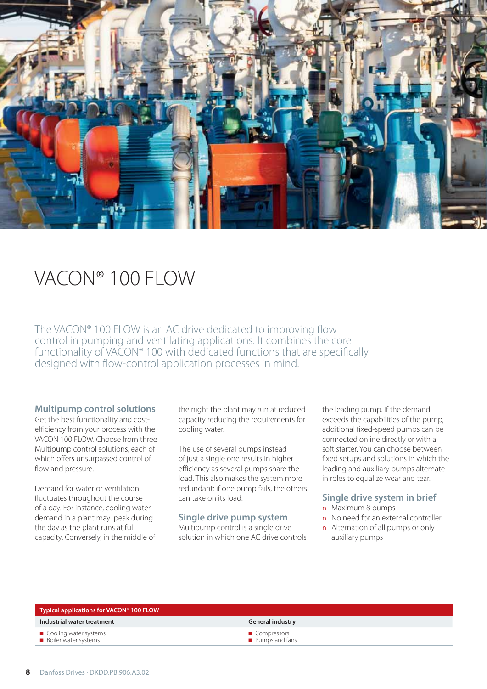

### VACON® 100 FLOW

The VACON® 100 FLOW is an AC drive dedicated to improving flow control in pumping and ventilating applications. It combines the core functionality of VACON® 100 with dedicated functions that are specifically designed with flow-control application processes in mind.

#### **Multipump control solutions**

Get the best functionality and costefficiency from your process with the VACON 100 FLOW. Choose from three Multipump control solutions, each of which offers unsurpassed control of flow and pressure.

Demand for water or ventilation fluctuates throughout the course of a day. For instance, cooling water demand in a plant may peak during the day as the plant runs at full capacity. Conversely, in the middle of

the night the plant may run at reduced capacity reducing the requirements for cooling water.

The use of several pumps instead of just a single one results in higher efficiency as several pumps share the load. This also makes the system more redundant: if one pump fails, the others can take on its load.

#### **Single drive pump system**

Multipump control is a single drive solution in which one AC drive controls the leading pump. If the demand exceeds the capabilities of the pump, additional fixed-speed pumps can be connected online directly or with a soft starter. You can choose between fixed setups and solutions in which the leading and auxiliary pumps alternate in roles to equalize wear and tear.

### **Single drive system in brief**

- n Maximum 8 pumps
- n No need for an external controller
- **n** Alternation of all pumps or only auxiliary pumps

| Typical applications for VACON <sup>®</sup> 100 FLOW |                                                |  |  |  |  |  |  |
|------------------------------------------------------|------------------------------------------------|--|--|--|--|--|--|
| Industrial water treatment                           | <b>General industry</b>                        |  |  |  |  |  |  |
| Cooling water systems<br><b>Boiler water systems</b> | ■ Compressors<br>$\blacksquare$ Pumps and fans |  |  |  |  |  |  |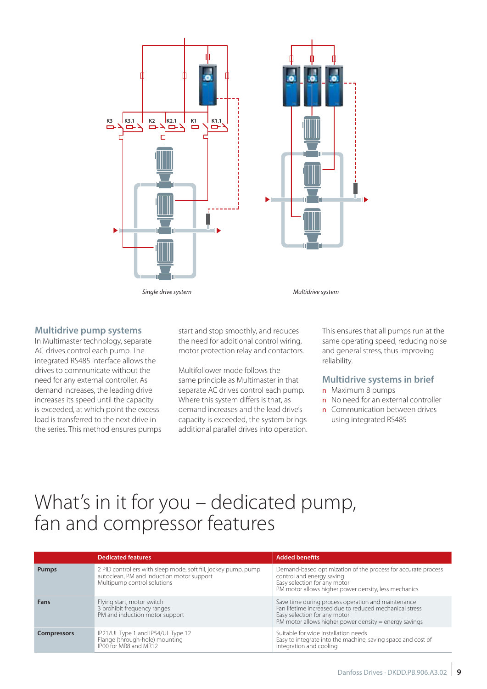

#### **Multidrive pump systems**

In Multimaster technology, separate AC drives control each pump. The integrated RS485 interface allows the drives to communicate without the need for any external controller. As demand increases, the leading drive increases its speed until the capacity is exceeded, at which point the excess load is transferred to the next drive in the series. This method ensures pumps start and stop smoothly, and reduces the need for additional control wiring, motor protection relay and contactors.

Multifollower mode follows the same principle as Multimaster in that separate AC drives control each pump. Where this system differs is that, as demand increases and the lead drive's capacity is exceeded, the system brings additional parallel drives into operation.

This ensures that all pumps run at the same operating speed, reducing noise and general stress, thus improving reliability.

#### **Multidrive systems in brief**

- n Maximum 8 pumps
- n No need for an external controller
- n Communication between drives using integrated RS485

### What's in it for you – dedicated pump, fan and compressor features

|                    | <b>Dedicated features</b>                                                                                                                   | <b>Added benefits</b>                                                                                                                                                                                  |
|--------------------|---------------------------------------------------------------------------------------------------------------------------------------------|--------------------------------------------------------------------------------------------------------------------------------------------------------------------------------------------------------|
| <b>Pumps</b>       | 2 PID controllers with sleep mode, soft fill, jockey pump, pump<br>autoclean, PM and induction motor support<br>Multipump control solutions | Demand-based optimization of the process for accurate process<br>control and energy saving<br>Easy selection for any motor<br>PM motor allows higher power density, less mechanics                     |
| Fans               | Flying start, motor switch<br>3 prohibit frequency ranges<br>PM and induction motor support                                                 | Save time during process operation and maintenance<br>Fan lifetime increased due to reduced mechanical stress<br>Easy selection for any motor<br>PM motor allows higher power density = energy savings |
| <b>Compressors</b> | IP21/UL Type 1 and IP54/UL Type 12<br>Flange (through-hole) mounting<br>IP00 for MR8 and MR12                                               | Suitable for wide installation needs<br>Easy to integrate into the machine, saving space and cost of<br>integration and cooling                                                                        |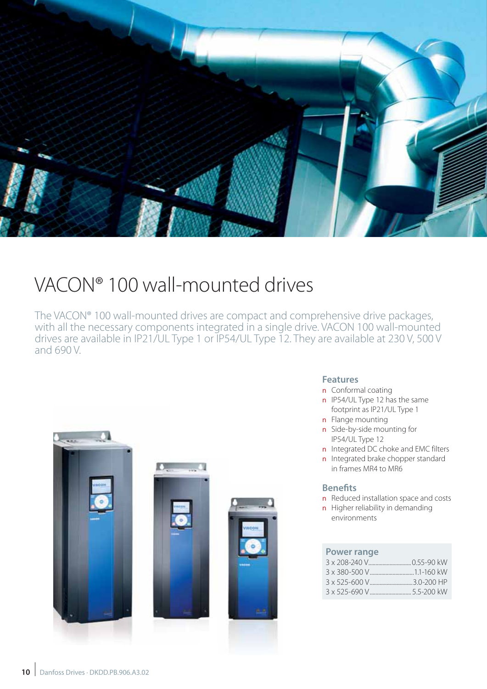

# VACON® 100 wall-mounted drives

The VACON® 100 wall-mounted drives are compact and comprehensive drive packages, with all the necessary components integrated in a single drive. VACON 100 wall-mounted drives are available in IP21/UL Type 1 or IP54/UL Type 12. They are available at 230 V, 500 V and 690 V.



### **Features**

- n Conformal coating
- **n** IP54/UL Type 12 has the same footprint as IP21/UL Type 1
- n Flange mounting
- n Side-by-side mounting for IP54/UL Type 12
- n Integrated DC choke and EMC filters
- n Integrated brake chopper standard in frames MR4 to MR6

### **Benefits**

- n Reduced installation space and costs
- **n** Higher reliability in demanding environments

#### **Power range**

| 3 x 525-600 V3.0-200 HP |
|-------------------------|
|                         |
|                         |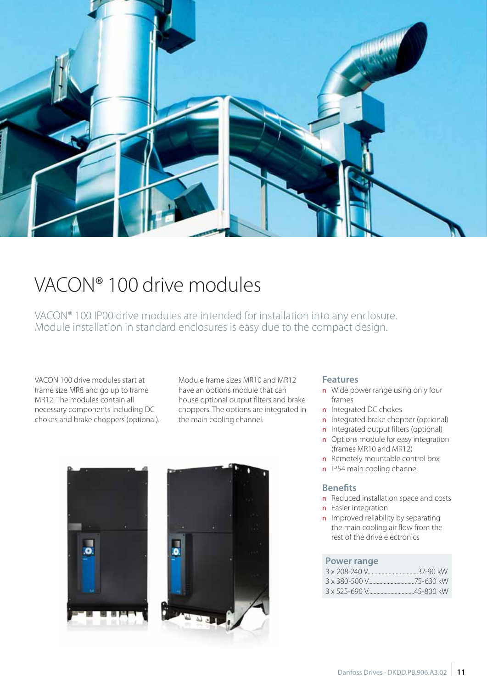

# VACON® 100 drive modules

VACON® 100 IP00 drive modules are intended for installation into any enclosure. Module installation in standard enclosures is easy due to the compact design.

VACON 100 drive modules start at frame size MR8 and go up to frame MR12. The modules contain all necessary components including DC chokes and brake choppers (optional). Module frame sizes MR10 and MR12 have an options module that can house optional output filters and brake choppers. The options are integrated in the main cooling channel.



### **Features**

- n Wide power range using only four frames
- n Integrated DC chokes
- n Integrated brake chopper (optional)
- n Integrated output filters (optional)
- n Options module for easy integration (frames MR10 and MR12)
- n Remotely mountable control box
- n IP54 main cooling channel

#### **Benefits**

- n Reduced installation space and costs
- n Easier integration
- **n** Improved reliability by separating the main cooling air flow from the rest of the drive electronics

### **Power range**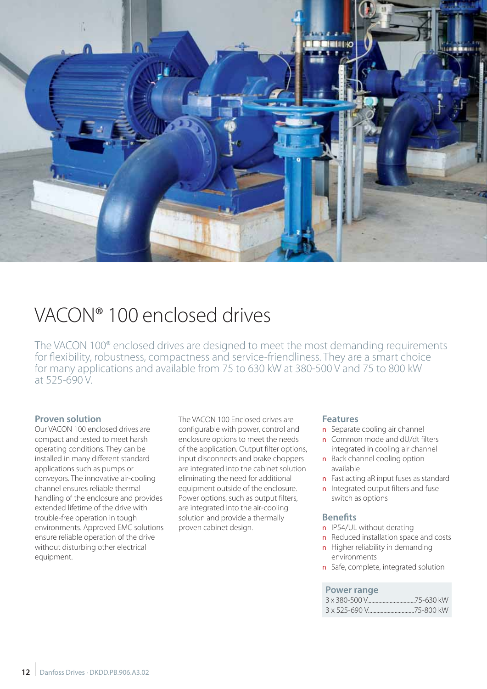

### VACON® 100 enclosed drives

The VACON 100® enclosed drives are designed to meet the most demanding requirements for flexibility, robustness, compactness and service-friendliness. They are a smart choice for many applications and available from 75 to 630 kW at 380-500 V and 75 to 800 kW at 525-690 V.

### **Proven solution**

Our VACON 100 enclosed drives are compact and tested to meet harsh operating conditions. They can be installed in many different standard applications such as pumps or conveyors. The innovative air-cooling channel ensures reliable thermal handling of the enclosure and provides extended lifetime of the drive with trouble-free operation in tough environments. Approved EMC solutions ensure reliable operation of the drive without disturbing other electrical equipment.

The VACON 100 Enclosed drives are configurable with power, control and enclosure options to meet the needs of the application. Output filter options, input disconnects and brake choppers are integrated into the cabinet solution eliminating the need for additional equipment outside of the enclosure. Power options, such as output filters, are integrated into the air-cooling solution and provide a thermally proven cabinet design.

#### **Features**

- **n** Separate cooling air channel
- n Common mode and dU/dt filters integrated in cooling air channel
- **n** Back channel cooling option available
- n Fast acting aR input fuses as standard
- n Integrated output filters and fuse switch as options

#### **Benefits**

- n IP54/UL without derating
- n Reduced installation space and costs
- n Higher reliability in demanding environments
- n Safe, complete, integrated solution

### **Power range**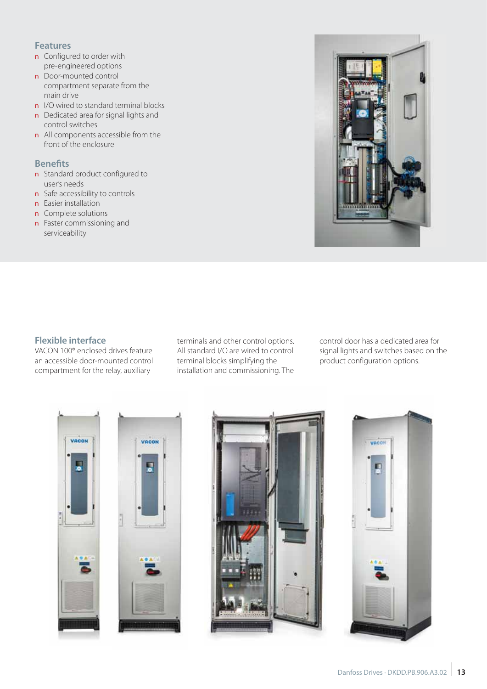### **Features**

- **n** Configured to order with pre-engineered options
- **n** Door-mounted control compartment separate from the main drive
- n I/O wired to standard terminal blocks
- n Dedicated area for signal lights and control switches
- n All components accessible from the front of the enclosure

### **Benefits**

- **n** Standard product configured to user's needs
- **n** Safe accessibility to controls
- **n** Easier installation
- n Complete solutions
- **n** Faster commissioning and serviceability



### **Flexible interface**

VACON 100® enclosed drives feature an accessible door-mounted control compartment for the relay, auxiliary

terminals and other control options. All standard I/O are wired to control terminal blocks simplifying the installation and commissioning. The

control door has a dedicated area for signal lights and switches based on the product configuration options.







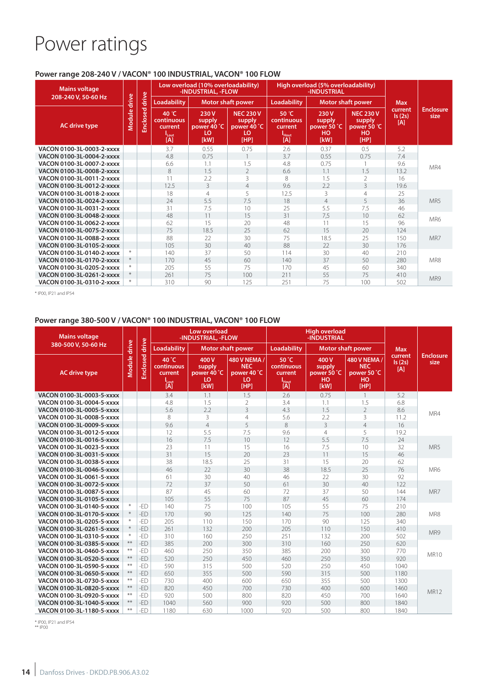## Power ratings

### **Power range 208-240 V / VACON® 100 INDUSTRIAL, VACON® 100 FLOW**

| <b>Mains voltage</b><br>208-240 V, 50-60 Hz |        |          | Low overload (10% overloadability)<br>-INDUSTRIAL, -FLOW   |                                             |                                                         | High overload (5% overloadability)<br>-INDUSTRIAL          |                                                |                                                         |                          |                          |  |
|---------------------------------------------|--------|----------|------------------------------------------------------------|---------------------------------------------|---------------------------------------------------------|------------------------------------------------------------|------------------------------------------------|---------------------------------------------------------|--------------------------|--------------------------|--|
|                                             |        | drive    | <b>Loadability</b>                                         |                                             | <b>Motor shaft power</b>                                |                                                            | <b>Motor shaft power</b><br><b>Loadability</b> |                                                         | <b>Max</b>               |                          |  |
| <b>AC drive type</b>                        | Module | Enclosed | 40 °C<br>continuous<br>current<br><sup>1</sup> Lout<br>[A] | 230V<br>supply<br>power 40 °C<br>LO<br>[kW] | <b>NEC 230 V</b><br>supply<br>power 40 °C<br>LO<br>[HP] | 50 °C<br>continuous<br>current<br><sup>1</sup> Hout<br>[A] | 230V<br>supply<br>power 50 °C<br>HO<br>[kW]    | <b>NEC 230 V</b><br>supply<br>power 50 °C<br>HO<br>[HP] | current<br>Is(2s)<br>[A] | <b>Enclosure</b><br>size |  |
| VACON 0100-3L-0003-2-xxxx                   |        |          | 3.7                                                        | 0.55                                        | 0.75                                                    | 2.6                                                        | 0.37                                           | 0.5                                                     | 5.2                      |                          |  |
| VACON 0100-3L-0004-2-xxxx                   |        |          | 4.8                                                        | 0.75                                        |                                                         | 3.7                                                        | 0.55                                           | 0.75                                                    | 7.4                      |                          |  |
| VACON 0100-3L-0007-2-xxxx                   |        |          | 6.6                                                        | 1.1                                         | 1.5                                                     | 4.8                                                        | 0.75                                           |                                                         | 9.6                      | MR4                      |  |
| VACON 0100-3L-0008-2-xxxx                   |        |          | 8                                                          | 1.5                                         | $\overline{2}$                                          | 6.6                                                        | 1.1                                            | 1.5                                                     | 13.2                     |                          |  |
| VACON 0100-3L-0011-2-xxxx                   |        |          | 11                                                         | 2.2                                         | 3                                                       | 8                                                          | 1.5                                            | $\overline{2}$                                          | 16                       |                          |  |
| VACON 0100-3L-0012-2-xxxx                   |        |          | 12.5                                                       | 3                                           | $\overline{4}$                                          | 9.6                                                        | 2.2                                            | 3                                                       | 19.6                     |                          |  |
| VACON 0100-3L-0018-2-xxxx                   |        |          | 18                                                         | 4                                           | 5                                                       | 12.5                                                       | 3                                              | $\overline{4}$                                          | 25                       |                          |  |
| VACON 0100-3L-0024-2-xxxx                   |        |          | 24                                                         | 5.5                                         | 7.5                                                     | 18                                                         | $\overline{4}$                                 | 5                                                       | 36                       | MR <sub>5</sub>          |  |
| VACON 0100-3L-0031-2-xxxx                   |        |          | 31                                                         | 7.5                                         | 10                                                      | 25                                                         | 5.5                                            | 7.5                                                     | 46                       |                          |  |
| VACON 0100-3L-0048-2-xxxx                   |        |          | 48                                                         | 11                                          | 15                                                      | 31                                                         | 7.5                                            | 10                                                      | 62                       | MR6                      |  |
| VACON 0100-3L-0062-2-xxxx                   |        |          | 62                                                         | 15                                          | 20                                                      | 48                                                         | 11                                             | 15                                                      | 96                       |                          |  |
| VACON 0100-3L-0075-2-xxxx                   |        |          | 75                                                         | 18.5                                        | 25                                                      | 62                                                         | 15                                             | 20                                                      | 124                      |                          |  |
| VACON 0100-3L-0088-2-xxxx                   |        |          | 88                                                         | 22                                          | 30                                                      | 75                                                         | 18.5                                           | 25                                                      | 150                      | MR7                      |  |
| VACON 0100-3L-0105-2-xxxx                   |        |          | 105                                                        | 30                                          | 40                                                      | 88                                                         | 22                                             | 30                                                      | 176                      |                          |  |
| VACON 0100-3L-0140-2-xxxx                   | $*$    |          | 140                                                        | 37                                          | 50                                                      | 114                                                        | 30                                             | 40                                                      | 210                      |                          |  |
| VACON 0100-3L-0170-2-xxxx                   | $*$    |          | 170                                                        | 45                                          | 60                                                      | 140                                                        | 37                                             | 50                                                      | 280                      | MR8                      |  |
| VACON 0100-3L-0205-2-xxxx                   | $*$    |          | 205                                                        | 55                                          | 75                                                      | 170                                                        | 45                                             | 60                                                      | 340                      |                          |  |
| VACON 0100-3L-0261-2-xxxx                   | $*$    |          | 261                                                        | 75                                          | 100                                                     | 211                                                        | 55                                             | 75                                                      | 410                      | MR9                      |  |
| VACON 0100-3L-0310-2-xxxx                   | $\ast$ |          | 310                                                        | 90                                          | 125                                                     | 251                                                        | 75                                             | 100                                                     | 502                      |                          |  |

\* IP00, IP21 and IP54

### **Power range 380-500 V / VACON® 100 INDUSTRIAL, VACON® 100 FLOW**

| <b>Mains voltage</b><br>380-500 V, 50-60 Hz |              |                       |                                                                   | Low overload<br>-INDUSTRIAL, -FLOW          |                                                         |                                                            | <b>High overload</b><br>-INDUSTRIAL         |                                                         |                          |                          |  |
|---------------------------------------------|--------------|-----------------------|-------------------------------------------------------------------|---------------------------------------------|---------------------------------------------------------|------------------------------------------------------------|---------------------------------------------|---------------------------------------------------------|--------------------------|--------------------------|--|
|                                             |              |                       | <b>Loadability</b><br><b>Motor shaft power</b>                    |                                             | Loadability<br><b>Motor shaft power</b>                 |                                                            |                                             | <b>Max</b>                                              |                          |                          |  |
| <b>AC drive type</b>                        | Module drive | <b>Enclosed drive</b> | 40 °C<br>continuous<br>current<br>l <sub>Lout</sub><br><b>TAT</b> | 400V<br>supply<br>power 40 °C<br>LO<br>[kW] | 480 V NEMA /<br><b>NEC</b><br>power 40 °C<br>LO<br>[HP] | 50 °C<br>continuous<br>current<br>I <sub>Hout</sub><br>[A] | 400V<br>supply<br>power 50 °C<br>HO<br>[kW] | 480 V NEMA /<br><b>NEC</b><br>power 50 °C<br>HO<br>[HP] | current<br>Is(2s)<br>[A] | <b>Enclosure</b><br>size |  |
| VACON 0100-3L-0003-5-xxxx                   |              |                       | 3.4                                                               | 1.1                                         | 1.5                                                     | 2.6                                                        | 0.75                                        | $\mathbf{1}$                                            | 5.2                      |                          |  |
| VACON 0100-3L-0004-5-xxxx                   |              |                       | 4.8                                                               | 1.5                                         | 2                                                       | 3.4                                                        | 1.1                                         | 1.5                                                     | 6.8                      |                          |  |
| VACON 0100-3L-0005-5-xxxx                   |              |                       | 5.6                                                               | 2.2                                         | 3                                                       | 4.3                                                        | 1.5                                         | $\overline{2}$                                          | 8.6                      | MR4                      |  |
| VACON 0100-3L-0008-5-xxxx                   |              |                       | 8                                                                 | 3                                           | $\overline{4}$                                          | 5.6                                                        | 2.2                                         | 3                                                       | 11.2                     |                          |  |
| VACON 0100-3L-0009-5-xxxx                   |              |                       | 9.6                                                               | $\overline{4}$                              | 5                                                       | 8                                                          | $\overline{3}$                              | $\overline{4}$                                          | 16                       |                          |  |
| VACON 0100-3L-0012-5-xxxx                   |              |                       | 12                                                                | 5.5                                         | 7.5                                                     | 9.6                                                        | $\overline{4}$                              | 5                                                       | 19.2                     |                          |  |
| VACON 0100-3L-0016-5-xxxx                   |              |                       | 16                                                                | 7.5                                         | 10                                                      | 12                                                         | 5.5                                         | 7.5                                                     | 24                       |                          |  |
| VACON 0100-3L-0023-5-xxxx                   |              |                       | 23                                                                | 11                                          | 15                                                      | 16                                                         | 7.5                                         | 10                                                      | 32                       | MR5                      |  |
| VACON 0100-3L-0031-5-xxxx                   |              |                       | 31                                                                | 15                                          | 20                                                      | 23                                                         | 11                                          | 15                                                      | 46                       |                          |  |
| VACON 0100-3L-0038-5-xxxx                   |              |                       | 38                                                                | 18.5                                        | 25                                                      | 31                                                         | 15                                          | 20                                                      | 62                       |                          |  |
| VACON 0100-3L-0046-5-xxxx                   |              |                       | 46                                                                | 22                                          | 30                                                      | 38                                                         | 18.5                                        | 25                                                      | 76                       | MR6                      |  |
| VACON 0100-3L-0061-5-xxxx                   |              |                       | 61                                                                | 30                                          | 40                                                      | 46                                                         | 22                                          | 30                                                      | 92                       |                          |  |
| VACON 0100-3L-0072-5-xxxx                   |              |                       | 72                                                                | 37                                          | 50                                                      | 61                                                         | 30                                          | 40                                                      | 122                      |                          |  |
| VACON 0100-3L-0087-5-xxxx                   |              |                       | 87                                                                | 45                                          | 60                                                      | 72                                                         | 37                                          | 50                                                      | 144                      | MR7                      |  |
| VACON 0100-3L-0105-5-xxxx                   |              |                       | 105                                                               | 55                                          | 75                                                      | 87                                                         | 45                                          | 60                                                      | 174                      |                          |  |
| VACON 0100-3L-0140-5-xxxx                   |              | $-ED$                 | 140                                                               | 75                                          | 100                                                     | 105                                                        | 55                                          | 75                                                      | 210                      |                          |  |
| VACON 0100-3L-0170-5-xxxx                   |              | $-ED$                 | 170                                                               | 90                                          | 125                                                     | 140                                                        | 75                                          | 100                                                     | 280                      | MR8                      |  |
| VACON 0100-3L-0205-5-xxxx                   |              | -ED                   | 205                                                               | 110                                         | 150                                                     | 170                                                        | 90                                          | 125                                                     | 340                      |                          |  |
| VACON 0100-3L-0261-5-xxxx                   |              | $-ED$                 | 261                                                               | 132                                         | 200                                                     | 205                                                        | 110                                         | 150                                                     | 410                      | MR9                      |  |
| VACON 0100-3L-0310-5-xxxx                   |              | $-ED$                 | 310                                                               | 160                                         | 250                                                     | 251                                                        | 132                                         | 200                                                     | 502                      |                          |  |
| VACON 0100-3L-0385-5-xxxx                   | $**$         | -ED                   | 385                                                               | 200                                         | 300                                                     | 310                                                        | 160                                         | 250                                                     | 620                      |                          |  |
| VACON 0100-3L-0460-5-xxxx                   | $***$        | -ED                   | 460                                                               | 250                                         | 350                                                     | 385                                                        | 200                                         | 300                                                     | 770                      | <b>MR10</b>              |  |
| VACON 0100-3L-0520-5-xxxx                   | $**$         | -ED                   | 520                                                               | 250                                         | 450                                                     | 460                                                        | 250                                         | 350                                                     | 920                      |                          |  |
| VACON 0100-3L-0590-5-xxxx                   | $***$        | -ED                   | 590                                                               | 315                                         | 500                                                     | 520                                                        | 250                                         | 450                                                     | 1040                     |                          |  |
| VACON 0100-3L-0650-5-xxxx                   | $**$         | -ED                   | 650                                                               | 355                                         | 500                                                     | 590                                                        | 315                                         | 500                                                     | 1180                     |                          |  |
| VACON 0100-3L-0730-5-xxxx                   | $***$        | -ED                   | 730                                                               | 400                                         | 600                                                     | 650                                                        | 355                                         | 500                                                     | 1300                     |                          |  |
| VACON 0100-3L-0820-5-xxxx                   | $***$        | $-FD$                 | 820                                                               | 450                                         | 700                                                     | 730                                                        | 400                                         | 600                                                     | 1460                     | <b>MR12</b>              |  |
| VACON 0100-3L-0920-5-xxxx                   | $***$        | -ED                   | 920                                                               | 500                                         | 800                                                     | 820                                                        | 450                                         | 700                                                     | 1640                     |                          |  |
| VACON 0100-3L-1040-5-xxxx                   | $**$         | $-FD$                 | 1040                                                              | 560                                         | 900                                                     | 920                                                        | 500                                         | 800                                                     | 1840                     |                          |  |
| VACON 0100-3L-1180-5-xxxx                   | $**$         | $-FD$                 | 1180                                                              | 630                                         | 1000                                                    | 920                                                        | 500                                         | 800                                                     | 1840                     |                          |  |

\* IP00, IP21 and IP54 \*\* IP00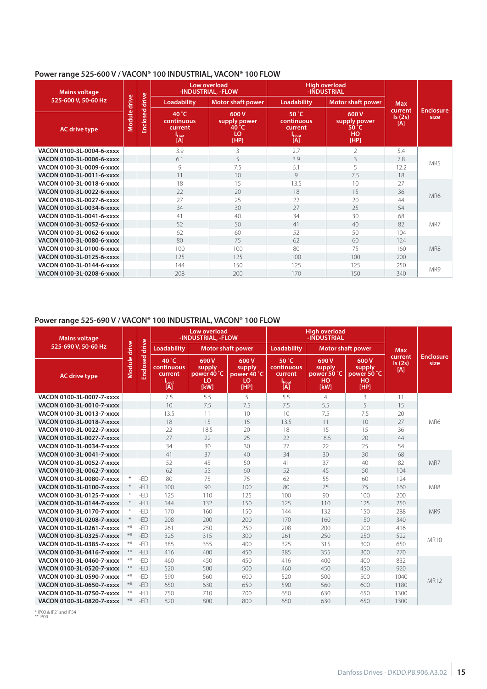### **Power range 525-600 V / VACON® 100 INDUSTRIAL, VACON® 100 FLOW**

| <b>Mains voltage</b><br>525-600 V, 50-60 Hz |                 |          |                                                                                                                      | Low overload<br>-INDUSTRIAL, -FLOW |                                                      | <b>High overload</b><br>-INDUSTRIAL                |            |                          |  |
|---------------------------------------------|-----------------|----------|----------------------------------------------------------------------------------------------------------------------|------------------------------------|------------------------------------------------------|----------------------------------------------------|------------|--------------------------|--|
|                                             |                 | drive    | Loadability                                                                                                          | <b>Motor shaft power</b>           | <b>Loadability</b>                                   | <b>Motor shaft power</b>                           | <b>Max</b> |                          |  |
| <b>AC drive type</b>                        | drive<br>Module | Enclosed | 40 $^{\circ}$ C<br>600 V<br>continuous<br>supply power<br>current<br>40 °C<br>LO<br><sup>1</sup> Lout<br>[A]<br>[HP] |                                    | 50 °C<br>continuous<br>current<br><b>Hout</b><br>[A] | 600V<br>supply power<br>50 °C<br><b>HO</b><br>[HP] |            | <b>Enclosure</b><br>size |  |
| VACON 0100-3L-0004-6-xxxx                   |                 |          | 3.9                                                                                                                  | 3                                  | 2.7                                                  | $\mathfrak{D}$                                     | 5.4        |                          |  |
| VACON 0100-3L-0006-6-xxxx                   |                 |          | 6.1                                                                                                                  | 5                                  | 3.9                                                  | 3                                                  | 7.8        | MR5                      |  |
| VACON 0100-3L-0009-6-xxxx                   |                 |          | 9                                                                                                                    | 7.5                                | 6.1                                                  | 5                                                  | 12.2       |                          |  |
| VACON 0100-3L-0011-6-xxxx                   |                 |          | 11                                                                                                                   | 10 <sup>2</sup>                    | 9                                                    | 7.5                                                | 18         |                          |  |
| VACON 0100-3L-0018-6-xxxx                   |                 |          | 18                                                                                                                   | 15                                 | 13.5                                                 |                                                    | 27         |                          |  |
| VACON 0100-3L-0022-6-xxxx                   |                 |          | 22                                                                                                                   | 20 <sup>°</sup>                    | 18                                                   | 15                                                 | 36         | MR6                      |  |
| VACON 0100-3L-0027-6-xxxx                   |                 |          | 27                                                                                                                   | 25                                 | 22                                                   | 20                                                 | 44         |                          |  |
| VACON 0100-3L-0034-6-xxxx                   |                 |          | 34                                                                                                                   | 30                                 | 27                                                   | 25                                                 | 54         |                          |  |
| VACON 0100-3L-0041-6-xxxx                   |                 |          | 41                                                                                                                   | 40                                 | 34                                                   | 30                                                 | 68         |                          |  |
| VACON 0100-3L-0052-6-xxxx                   |                 |          | 52                                                                                                                   | 50                                 | 41                                                   | 40                                                 | 82         | MR7                      |  |
| VACON 0100-3L-0062-6-xxxx                   |                 |          | 62                                                                                                                   | 60                                 | 52                                                   | 50                                                 | 104        |                          |  |
| VACON 0100-3L-0080-6-xxxx                   |                 |          | 80                                                                                                                   | 75                                 | 62                                                   | 60                                                 | 124        |                          |  |
| VACON 0100-3L-0100-6-xxxx                   |                 |          | 100                                                                                                                  | 100                                | 80                                                   | 75                                                 | 160        | MR8                      |  |
| VACON 0100-3L-0125-6-xxxx                   |                 |          | 125                                                                                                                  | 125                                | 100                                                  | 100                                                | 200        |                          |  |
| VACON 0100-3L-0144-6-xxxx                   |                 |          | 144                                                                                                                  | 150                                | 125                                                  | 125                                                | 250        | MR9                      |  |
| VACON 0100-3L-0208-6-xxxx                   |                 |          | 208                                                                                                                  | 200                                | 170                                                  | 150                                                | 340        |                          |  |

### **Power range 525-690 V / VACON® 100 INDUSTRIAL, VACON® 100 FLOW**

| <b>Mains voltage</b><br>525-690 V, 50-60 Hz<br><b>AC drive type</b> |        |                | Low overload<br>-INDUSTRIAL, -FLOW                                  |                                             |                                             |                                                            | <b>High overload</b><br>-INDUSTRIAL         |                                             |                          |                          |
|---------------------------------------------------------------------|--------|----------------|---------------------------------------------------------------------|---------------------------------------------|---------------------------------------------|------------------------------------------------------------|---------------------------------------------|---------------------------------------------|--------------------------|--------------------------|
|                                                                     |        |                | <b>Loadability</b>                                                  | <b>Motor shaft power</b>                    |                                             | <b>Motor shaft power</b><br>Loadability                    |                                             |                                             | <b>Max</b>               |                          |
|                                                                     |        | Enclosed drive | $40^{\circ}$ C<br>continuous<br>current<br>l <sub>Lout</sub><br>[A] | 690V<br>supply<br>power 40 °C<br>LO<br>[kW] | 600V<br>supply<br>power 40 °C<br>LO<br>[HP] | 50 °C<br>continuous<br>current<br>I <sub>Hout</sub><br>[A] | 690V<br>supply<br>power 50 °C<br>HO<br>[kW] | 600V<br>supply<br>power 50 °C<br>HO<br>[HP] | current<br>Is(2s)<br>[A] | <b>Enclosure</b><br>size |
| VACON 0100-3L-0007-7-xxxx                                           |        |                | 7.5                                                                 | 5.5                                         | 5                                           | 5.5                                                        | $\overline{4}$                              | 3                                           | 11                       |                          |
| VACON 0100-3L-0010-7-xxxx                                           |        |                | 10                                                                  | 7.5                                         | 7.5                                         | 7.5                                                        | 5.5                                         | 5                                           | 15                       |                          |
| VACON 0100-3L-0013-7-xxxx                                           |        |                | 13.5                                                                | 11                                          | 10                                          | 10                                                         | 7.5                                         | 7.5                                         | 20                       |                          |
| VACON 0100-3L-0018-7-xxxx                                           |        |                | 18                                                                  | 15                                          | 15                                          | 13.5                                                       | 11                                          | 10                                          | 27                       | MR6                      |
| VACON 0100-3L-0022-7-xxxx                                           |        |                | 22                                                                  | 18.5                                        | 20                                          | 18                                                         | 15                                          | 15                                          | 36                       |                          |
| VACON 0100-3L-0027-7-xxxx                                           |        |                | 27                                                                  | 22                                          | 25                                          | 22                                                         | 18.5                                        | 20                                          | 44                       |                          |
| VACON 0100-3L-0034-7-xxxx                                           |        |                | 34                                                                  | 30                                          | 30                                          | 27                                                         | 22                                          | 25                                          | 54                       |                          |
| VACON 0100-3L-0041-7-xxxx                                           |        |                | 41                                                                  | 37                                          | 40                                          | 34                                                         | 30                                          | 30                                          | 68                       |                          |
| VACON 0100-3L-0052-7-xxxx                                           |        |                | 52                                                                  | 45                                          | 50                                          | 41                                                         | 37                                          | 40                                          | 82                       | MR7                      |
| VACON 0100-3L-0062-7-xxxx                                           |        |                | 62                                                                  | 55                                          | 60                                          | 52                                                         | 45                                          | 50                                          | 104                      |                          |
| VACON 0100-3L-0080-7-xxxx                                           | $\ast$ | -ED            | 80                                                                  | 75                                          | 75                                          | 62                                                         | 55                                          | 60                                          | 124                      |                          |
| VACON 0100-3L-0100-7-xxxx                                           |        | -ED            | 100                                                                 | 90                                          | 100                                         | 80                                                         | 75                                          | 75                                          | 160                      | MR8                      |
| VACON 0100-3L-0125-7-xxxx                                           |        | -ED            | 125                                                                 | 110                                         | 125                                         | 100                                                        | 90                                          | 100                                         | 200                      |                          |
| VACON 0100-3L-0144-7-xxxx                                           |        | $-FD$          | 144                                                                 | 132                                         | 150                                         | 125                                                        | 110                                         | 125                                         | 250                      |                          |
| VACON 0100-3L-0170-7-xxxx                                           |        | -ED            | 170                                                                 | 160                                         | 150                                         | 144                                                        | 132                                         | 150                                         | 288                      | MR9                      |
| VACON 0100-3L-0208-7-xxxx                                           |        | -ED            | 208                                                                 | 200                                         | 200                                         | 170                                                        | 160                                         | 150                                         | 340                      |                          |
| VACON 0100-3L-0261-7-xxxx                                           | $**$   | -ED            | 261                                                                 | 250                                         | 250                                         | 208                                                        | 200                                         | 200                                         | 416                      |                          |
| VACON 0100-3L-0325-7-xxxx                                           | $**$   | $-FD$          | 325                                                                 | 315                                         | 300                                         | 261                                                        | 250                                         | 250                                         | 522                      | <b>MR10</b>              |
| VACON 0100-3L-0385-7-xxxx                                           | $***$  | -ED            | 385                                                                 | 355                                         | 400                                         | 325                                                        | 315                                         | 300                                         | 650                      |                          |
| VACON 0100-3L-0416-7-xxxx                                           | $**$   | -ED            | 416                                                                 | 400                                         | 450                                         | 385                                                        | 355                                         | 300                                         | 770                      |                          |
| VACON 0100-3L-0460-7-xxxx                                           | $**$   | -ED            | 460                                                                 | 450                                         | 450                                         | 416                                                        | 400                                         | 400                                         | 832                      |                          |
| VACON 0100-3L-0520-7-xxxx                                           | $**$   | -ED            | 520                                                                 | 500                                         | 500                                         | 460                                                        | 450                                         | 450                                         | 920                      |                          |
| VACON 0100-3L-0590-7-xxxx                                           | $***$  | -ED            | 590                                                                 | 560                                         | 600                                         | 520                                                        | 500                                         | 500                                         | 1040                     | <b>MR12</b>              |
| VACON 0100-3L-0650-7-xxxx                                           | $***$  | -ED            | 650                                                                 | 630                                         | 650                                         | 590                                                        | 560                                         | 600                                         | 1180                     |                          |
| VACON 0100-3L-0750-7-xxxx                                           | $**$   | -ED            | 750                                                                 | 710                                         | 700                                         | 650                                                        | 630                                         | 650                                         | 1300                     |                          |
| VACON 0100-3L-0820-7-xxxx                                           | $**$   | -ED            | 820                                                                 | 800                                         | 800                                         | 650                                                        | 630                                         | 650                                         | 1300                     |                          |

\* IP00 & IP21and IP54 \*\* IP00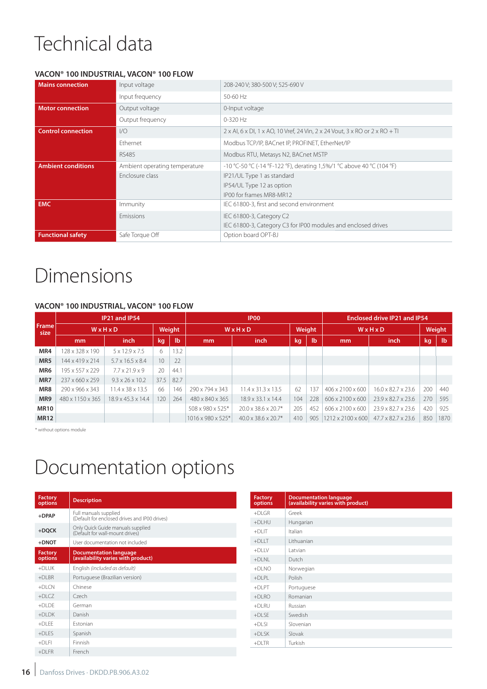# Technical data

### **VACON® 100 INDUSTRIAL, VACON® 100 FLOW**

| <b>Mains connection</b>   | Input voltage                 | 208-240 V; 380-500 V; 525-690 V                                                    |  |  |  |  |  |
|---------------------------|-------------------------------|------------------------------------------------------------------------------------|--|--|--|--|--|
|                           | Input frequency               | 50-60 Hz                                                                           |  |  |  |  |  |
| <b>Motor connection</b>   | Output voltage                | 0-Input voltage                                                                    |  |  |  |  |  |
|                           | Output frequency              | 0-320 Hz                                                                           |  |  |  |  |  |
| <b>Control connection</b> | 1/O                           | $2 \times$ AI, 6 x DI, 1 x AO, 10 Vref, 24 Vin, 2 x 24 Vout, 3 x RO or 2 x RO + TI |  |  |  |  |  |
|                           | <b>Fthernet</b>               | Modbus TCP/IP, BACnet IP, PROFINET, EtherNet/IP                                    |  |  |  |  |  |
|                           | <b>RS485</b>                  | Modbus RTU, Metasys N2, BACnet MSTP                                                |  |  |  |  |  |
| <b>Ambient conditions</b> | Ambient operating temperature | -10 °C-50 °C (-14 °F-122 °F), derating 1,5%/1 °C above 40 °C (104 °F)              |  |  |  |  |  |
|                           | Enclosure class               | IP21/UL Type 1 as standard                                                         |  |  |  |  |  |
|                           |                               | IP54/UL Type 12 as option                                                          |  |  |  |  |  |
|                           |                               | IP00 for frames MR8-MR12                                                           |  |  |  |  |  |
| <b>EMC</b>                | <i>Immunity</i>               | IEC 61800-3, first and second environment                                          |  |  |  |  |  |
|                           | Emissions                     | IEC 61800-3, Category C2                                                           |  |  |  |  |  |
|                           |                               | IEC 61800-3, Category C3 for IP00 modules and enclosed drives                      |  |  |  |  |  |
| <b>Functional safety</b>  | Safe Torque Off               | Option board OPT-BJ                                                                |  |  |  |  |  |

### Dimensions

### **VACON® 100 INDUSTRIAL, VACON® 100 FLOW**

|               | IP21 and IP54     |                                |      |              | IP <sub>00</sub>  |                                  |        |              | <b>Enclosed drive IP21 and IP54</b> |                                |     |                           |  |  |
|---------------|-------------------|--------------------------------|------|--------------|-------------------|----------------------------------|--------|--------------|-------------------------------------|--------------------------------|-----|---------------------------|--|--|
| Frame<br>size | WxHxD             |                                |      | Weight       | WxHxD             |                                  | Weight |              | WxHxD                               |                                |     | Weight                    |  |  |
|               | <i>inch</i><br>mm |                                | kg   | $\mathbf{I}$ | mm                | <i>inch</i>                      | kg     | $\mathbf{I}$ | mm                                  | inch                           | kg  | $\mathsf{I}^{\mathsf{b}}$ |  |  |
| MR4           | 128 x 328 x 190   | $5 \times 12.9 \times 7.5$     | 6    | 13.2         |                   |                                  |        |              |                                     |                                |     |                           |  |  |
| MR5           | 144 x 419 x 214   | $5.7 \times 16.5 \times 8.4$   | 10   | 22           |                   |                                  |        |              |                                     |                                |     |                           |  |  |
| MR6           | 195 x 557 x 229   | $7.7 \times 21.9 \times 9$     | 20   | 44.1         |                   |                                  |        |              |                                     |                                |     |                           |  |  |
| MR7           | 237 x 660 x 259   | $9.3 \times 26 \times 10.2$    | 37.5 | 82.7         |                   |                                  |        |              |                                     |                                |     |                           |  |  |
| MR8           | 290 x 966 x 343   | $11.4 \times 38 \times 13.5$   | 66   | 146          | 290 x 794 x 343   | $11.4 \times 31.3 \times 13.5$   | 62     | 137          | $406 \times 2100 \times 600$        | $16.0 \times 82.7 \times 23.6$ | 200 | 440                       |  |  |
| MR9           | 480 x 1150 x 365  | $18.9 \times 45.3 \times 14.4$ | 120  | 264          | 480 x 840 x 365   | $18.9 \times 33.1 \times 14.4$   | 104    | 228          | $606 \times 2100 \times 600$        | 23.9 x 82.7 x 23.6             | 270 | 595                       |  |  |
| <b>MR10</b>   |                   |                                |      |              | 508 x 980 x 525*  | $20.0 \times 38.6 \times 20.7$ * | 205    | 452          | 606 x 2100 x 600                    | 23.9 x 82.7 x 23.6             | 420 | 925                       |  |  |
| <b>MR12</b>   |                   |                                |      |              | 1016 x 980 x 525* | $40.0 \times 38.6 \times 20.7$ * | 410    | 905          | $1212 \times 2100 \times 600$       | $47.7 \times 82.7 \times 23.6$ | 850 | 1870                      |  |  |

\* without options module

### Documentation options

| <b>Factory</b> | <b>Description</b>                                                     | <b>Factory</b><br>options | <b>Documentation language</b><br>(availability varies with product) |
|----------------|------------------------------------------------------------------------|---------------------------|---------------------------------------------------------------------|
| options        |                                                                        |                           |                                                                     |
| +DPAP          | Full manuals supplied<br>(Default for enclosed drives and IP00 drives) | $+$ DLGR                  | Greek                                                               |
|                |                                                                        | +DLHU                     | Hungarian                                                           |
| $+$ DQCK       | Only Quick Guide manuals supplied<br>(Default for wall-mount drives)   | $+DLIT$                   | Italian                                                             |
| $+$ DNOT       | User documentation not included                                        | $+$ DLLT                  | Lithuanian                                                          |
| <b>Factory</b> | <b>Documentation language</b>                                          | $+$ DLLV                  | Latvian                                                             |
| options        | (availability varies with product)                                     | $+DLNL$                   | Dutch                                                               |
| $+$ DLUK       | English (included as default)                                          | $+DLNO$                   | Norwegian                                                           |
| $+DLBR$        | Portuguese (Brazilian version)                                         | $+DLPL$                   | Polish                                                              |
| $+$ DLCN       | Chinese                                                                | $+$ DLPT                  | Portuguese                                                          |
| $+DLCZ$        | Czech                                                                  | $+DLRO$                   | Romanian                                                            |
| +DLDE          | German                                                                 | $+DLRU$                   | Russian                                                             |
| $+$ DLDK       | Danish                                                                 | $+DLSE$                   | Swedish                                                             |
| $+DLEE$        | Estonian                                                               | $+$ DLSI                  | Slovenian                                                           |
| $+DLES$        | Spanish                                                                | $+DLSK$                   | Slovak                                                              |
| $+$ DLFI       | Finnish                                                                | $+DLTR$                   | Turkish                                                             |
| $+$ DLFR       | French                                                                 |                           |                                                                     |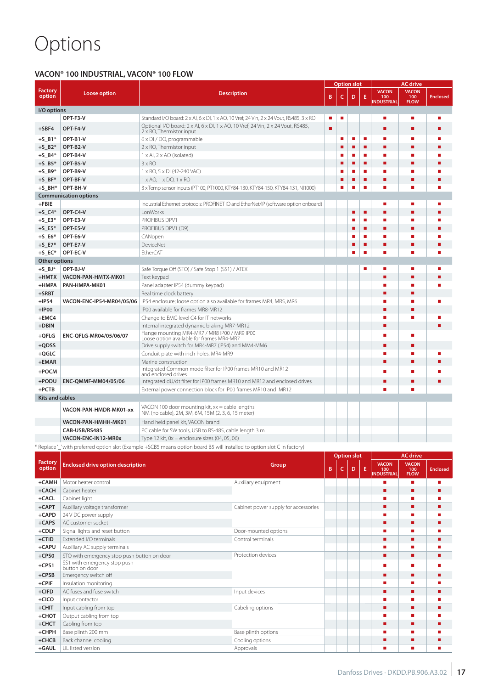# Options

### **VACON® 100 INDUSTRIAL, VACON® 100 FLOW**

|                          |                                                                                                     |                                                                                                                         |                                                                                      |    |    | Option slot        |   |                                   | AC drive                           |                 |
|--------------------------|-----------------------------------------------------------------------------------------------------|-------------------------------------------------------------------------------------------------------------------------|--------------------------------------------------------------------------------------|----|----|--------------------|---|-----------------------------------|------------------------------------|-----------------|
| <b>Factory</b><br>option | Loose option                                                                                        |                                                                                                                         | <b>Description</b>                                                                   | В  | c  | D                  | Ε | <b>VACON</b><br>100<br>INDUSTRIAL | <b>VACON</b><br>100<br><b>FLOW</b> | <b>Enclosed</b> |
| I/O options              |                                                                                                     |                                                                                                                         |                                                                                      |    |    |                    |   |                                   |                                    |                 |
|                          | OPT-F3-V<br>Standard I/O board: 2 x AI, 6 x DI, 1 x AO, 10 Vref, 24 Vin, 2 x 24 Vout, RS485, 3 x RO |                                                                                                                         |                                                                                      |    |    |                    |   |                                   |                                    |                 |
| $+SBF4$                  | OPT-F4-V                                                                                            | Optional I/O board: 2 x AI, 6 x DI, 1 x AO, 10 Vref, 24 Vin, 2 x 24 Vout, RS485,<br>2 x RO, Thermistor input            | п                                                                                    |    |    |                    |   |                                   |                                    |                 |
| $+S$ B1*                 | OPT-B1-V                                                                                            | 6 x DI / DO, programmable                                                                                               |                                                                                      |    | п  | П                  | п |                                   |                                    |                 |
| $+S_B^2$                 | OPT-B2-V                                                                                            | 2 x RO, Thermistor input                                                                                                |                                                                                      |    | п  | п                  | ٠ | п                                 |                                    |                 |
| $+S_B4*$                 | OPT-B4-V                                                                                            | $1 \times$ Al, $2 \times$ AO (isolated)                                                                                 |                                                                                      |    | ×. | П                  | п | ш                                 |                                    |                 |
| $+S_B5*$                 | OPT-B5-V                                                                                            | $3 \times RO$                                                                                                           |                                                                                      |    | ■  | ■                  | п |                                   |                                    |                 |
| $+S_B9*$                 | OPT-B9-V                                                                                            | 1 x RO, 5 x DI (42-240 VAC)                                                                                             |                                                                                      |    | п  | П                  | п |                                   |                                    |                 |
| $+S$ _BF*                | OPT-BF-V                                                                                            | $1 \times$ AO, $1 \times$ DO, $1 \times$ RO                                                                             |                                                                                      |    | п  | П                  | п | п                                 | ٠                                  |                 |
| $+S$ _BH*                | OPT-BH-V                                                                                            | 3 x Temp sensor inputs (PT100, PT1000, KTY84-130, KTY84-150, KTY84-131, NI1000)                                         |                                                                                      |    | o. | E                  | п |                                   |                                    |                 |
|                          | <b>Communication options</b>                                                                        |                                                                                                                         |                                                                                      |    |    |                    |   |                                   |                                    |                 |
| $+FBIE$<br>$+S_C4*$      | OPT-C4-V                                                                                            | LonWorks                                                                                                                | Industrial Ethernet protocols: PROFINET IO and EtherNet/IP (software option onboard) |    |    | П                  | п |                                   |                                    |                 |
| $+S_E3*$                 | OPT-E3-V                                                                                            | PROFIBUS DPV1                                                                                                           |                                                                                      |    |    | п                  | п |                                   |                                    |                 |
| $+S_E5*$                 | OPT-E5-V                                                                                            | PROFIBUS DPV1 (D9)                                                                                                      |                                                                                      |    |    | п                  | п | п                                 | ٠                                  |                 |
| $+5\_E6*$                | OPT-E6-V                                                                                            | CANopen                                                                                                                 |                                                                                      |    |    | Г                  | п |                                   |                                    |                 |
| $+S_E7*$                 | OPT-E7-V                                                                                            | DeviceNet                                                                                                               |                                                                                      |    |    | п                  | п | п                                 | г                                  |                 |
| $+S$ <sub>_EC</sub> *    | OPT-EC-V                                                                                            | <b>EtherCAT</b>                                                                                                         |                                                                                      |    |    | П                  | п |                                   |                                    |                 |
| Other options            |                                                                                                     |                                                                                                                         |                                                                                      |    |    |                    |   |                                   |                                    |                 |
| $+S$ _BJ*                | OPT-BJ-V                                                                                            | Safe Torque Off (STO) / Safe Stop 1 (SS1) / ATEX                                                                        |                                                                                      |    |    |                    |   | п                                 |                                    |                 |
| $+$ HMTX                 | VACON-PAN-HMTX-MK01                                                                                 | Text keypad                                                                                                             |                                                                                      |    |    |                    |   |                                   |                                    |                 |
| +HMPA                    | PAN-HMPA-MK01                                                                                       | Panel adapter IP54 (dummy keypad)                                                                                       |                                                                                      |    |    |                    |   |                                   |                                    |                 |
| $+$ SRBT<br>$+IP54$      |                                                                                                     | Real time clock battery<br>IP54 enclosure; loose option also available for frames MR4, MR5, MR6                         |                                                                                      |    |    |                    |   |                                   |                                    |                 |
| $+$ IP00                 | VACON-ENC-IP54-MR04/05/06                                                                           | IP00 available for frames MR8-MR12                                                                                      |                                                                                      |    |    |                    |   |                                   |                                    |                 |
| +EMC4                    |                                                                                                     | Change to EMC-level C4 for IT networks                                                                                  |                                                                                      |    |    |                    |   |                                   |                                    |                 |
| +DBIN                    |                                                                                                     | Internal integrated dynamic braking MR7-MR12                                                                            |                                                                                      |    |    |                    |   |                                   |                                    |                 |
| $+QFLG$                  | ENC-QFLG-MR04/05/06/07                                                                              | Flange mounting MR4-MR7 / MR8 IP00 / MR9 IP00                                                                           |                                                                                      |    |    |                    |   |                                   |                                    |                 |
| $+QDSS$                  |                                                                                                     | Loose option available for frames MR4-MR7<br>Drive supply switch for MR4-MR7 (IP54) and MM4-MM6                         |                                                                                      |    |    |                    |   |                                   |                                    |                 |
| $+QGLC$                  |                                                                                                     | Conduit plate with inch holes, MR4-MR9                                                                                  |                                                                                      |    |    |                    |   |                                   |                                    |                 |
| +EMAR                    |                                                                                                     | Marine construction                                                                                                     |                                                                                      |    |    |                    |   |                                   |                                    |                 |
| +POCM                    |                                                                                                     | Integrated Common mode filter for IP00 frames MR10 and MR12                                                             |                                                                                      |    |    |                    |   |                                   |                                    |                 |
| +PODU                    | <b>ENC-QMMF-MM04/05/06</b>                                                                          | and enclosed drives<br>Integrated dU/dt filter for IP00 frames MR10 and MR12 and enclosed drives                        |                                                                                      |    |    |                    |   |                                   |                                    |                 |
| $+PCTB$                  |                                                                                                     |                                                                                                                         |                                                                                      |    |    |                    |   |                                   |                                    |                 |
|                          | External power connection block for IP00 frames MR10 and MR12<br><b>Kits and cables</b>             |                                                                                                                         |                                                                                      |    |    |                    |   |                                   |                                    |                 |
|                          |                                                                                                     | VACON 100 door mounting kit, xx = cable lengths                                                                         |                                                                                      |    |    |                    |   |                                   |                                    |                 |
|                          | VACON-PAN-HMDR-MK01-xx                                                                              | NM (no cable), 2M, 3M, 6M, 15M (2, 3, 6, 15 meter)                                                                      |                                                                                      |    |    |                    |   |                                   |                                    |                 |
|                          | VACON-PAN-HMHH-MK01                                                                                 | Hand held panel kit, VACON brand                                                                                        |                                                                                      |    |    |                    |   |                                   |                                    |                 |
|                          | CAB-USB/RS485                                                                                       | PC cable for SW tools, USB to RS-485, cable length 3 m                                                                  |                                                                                      |    |    |                    |   |                                   |                                    |                 |
|                          | VACON-ENC-IN12-MR0x                                                                                 | Type 12 kit, $0x$ = enclosure sizes (04, 05, 06)                                                                        |                                                                                      |    |    |                    |   |                                   |                                    |                 |
|                          |                                                                                                     | * Replace'_'with preferred option slot (Example +SCB5 means option board B5 will installed to option slot C in factory) |                                                                                      |    |    |                    |   |                                   | <b>AC drive</b>                    |                 |
| Factory                  |                                                                                                     |                                                                                                                         |                                                                                      |    |    | <b>Option slot</b> |   |                                   |                                    |                 |
| option                   | <b>Enclosed drive option description</b>                                                            |                                                                                                                         | Group                                                                                | B. | c  | D                  | Ε | <b>VACON</b><br>100               | <b>VACON</b><br>100                | <b>Enclosed</b> |
|                          |                                                                                                     |                                                                                                                         |                                                                                      |    |    |                    |   | <b>INDUSTRIAL</b><br>п            | <b>FLOW</b>                        |                 |
| +CAMH<br>+CACH           | Motor heater control<br>Cabinet heater                                                              |                                                                                                                         | Auxiliary equipment                                                                  |    |    |                    |   | г                                 | ٠<br>п                             |                 |
| +CACL                    | Cabinet light                                                                                       |                                                                                                                         |                                                                                      |    |    |                    |   |                                   | п                                  |                 |
| $+$ CAPT                 | Auxiliary voltage transformer                                                                       |                                                                                                                         | Cabinet power supply for accessories                                                 |    |    |                    |   | ٠                                 | ٠                                  |                 |
| +CAPD                    | 24 V DC power supply                                                                                |                                                                                                                         |                                                                                      |    |    |                    |   |                                   | п                                  |                 |
| $+CAPS$                  | AC customer socket                                                                                  |                                                                                                                         |                                                                                      |    |    |                    |   |                                   | ٠                                  |                 |
| +CDLP                    | Signal lights and reset button                                                                      |                                                                                                                         | Door-mounted options                                                                 |    |    |                    |   | п                                 | п                                  |                 |
| $+CTID$                  | Extended I/O terminals                                                                              |                                                                                                                         | Control terminals                                                                    |    |    |                    |   | п                                 | г                                  |                 |
| +CAPU                    | Auxiliary AC supply terminals                                                                       |                                                                                                                         |                                                                                      |    |    |                    |   |                                   |                                    |                 |
| $+CPSO$                  | STO with emergency stop push button on door<br>SS1 with emergency stop push                         |                                                                                                                         | Protection devices                                                                   |    |    |                    |   | ٠                                 | ٠                                  | п               |
| $+CPS1$                  | button on door                                                                                      |                                                                                                                         |                                                                                      |    |    |                    |   |                                   |                                    |                 |
| $+CPSB$                  | Emergency switch off                                                                                |                                                                                                                         |                                                                                      |    |    |                    |   |                                   |                                    |                 |
| $+$ CPIF                 | Insulation monitoring                                                                               |                                                                                                                         |                                                                                      |    |    |                    |   | п                                 | п                                  |                 |
| $+C$ IFD                 | AC fuses and fuse switch                                                                            |                                                                                                                         | Input devices                                                                        |    |    |                    |   | ٠                                 | ٠                                  |                 |
| $+CICO$                  | Input contactor                                                                                     |                                                                                                                         |                                                                                      |    |    |                    |   |                                   | п                                  |                 |
| $+$ CHIT                 | Input cabling from top<br>Output cabling from top                                                   |                                                                                                                         | Cabeling options                                                                     |    |    |                    |   |                                   | г                                  |                 |
| $+$ CHOT<br>$+CHCT$      | Cabling from top                                                                                    |                                                                                                                         |                                                                                      |    |    |                    |   |                                   |                                    |                 |
| $+$ CHPH                 | Base plinth 200 mm                                                                                  |                                                                                                                         | Base plinth options                                                                  |    |    |                    |   | п                                 | п                                  |                 |
| $+CHCB$                  | Back channel cooling                                                                                |                                                                                                                         | Cooling options                                                                      |    |    |                    |   | п                                 | п                                  | ■               |
| +GAUL                    | UL listed version                                                                                   |                                                                                                                         | Approvals                                                                            |    |    |                    |   | п                                 | ٠                                  | ٠               |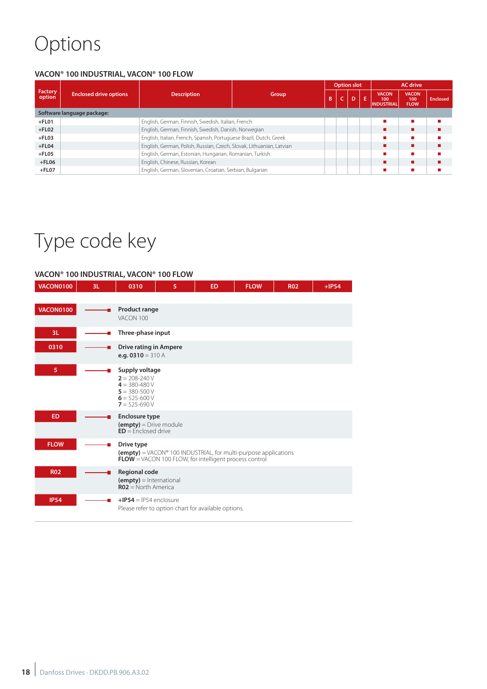# Options

### **VACON® 100 INDUSTRIAL, VACON® 100 FLOW**

|                   |                               |                                                                      |       |   | <b>Option slot</b> |              |    | <b>AC</b> drive                          |                                    |                 |
|-------------------|-------------------------------|----------------------------------------------------------------------|-------|---|--------------------|--------------|----|------------------------------------------|------------------------------------|-----------------|
| Factory<br>option | <b>Enclosed drive options</b> | <b>Description</b>                                                   | Group | B |                    | $\mathbf{D}$ | F. | <b>VACON</b><br>100<br><b>INDUSTRIAL</b> | <b>VACON</b><br>100<br><b>FLOW</b> | <b>Enclosed</b> |
|                   | Software language package:    |                                                                      |       |   |                    |              |    |                                          |                                    |                 |
| $+$ FL01          |                               | English, German, Finnish, Swedish, Italian, French                   |       |   |                    |              |    |                                          |                                    |                 |
| $+$ FL02          |                               | English, German, Finnish, Swedish, Danish, Norwegian                 |       |   |                    |              |    |                                          |                                    |                 |
| $+$ FL03          |                               | English, Italian, French, Spanish, Portuguese Brazil, Dutch, Greek   |       |   |                    |              |    |                                          |                                    |                 |
| $+$ FL04          |                               | English, German, Polish, Russian, Czech, Slovak, Lithuanian, Latvian |       |   |                    |              |    |                                          |                                    |                 |
| $+$ FL05          |                               | English, German, Estonian, Hungarian, Romanian, Turkish              |       |   |                    |              |    |                                          |                                    |                 |
| $+$ FL06          |                               | English, Chinese, Russian, Korean                                    |       |   |                    |              |    |                                          |                                    |                 |
| $+$ FL07          |                               | English, German, Slovenian, Croatian, Serbian, Bulgarian             |       |   |                    |              |    |                                          |                                    |                 |

# Type code key

### **VACON® 100 INDUSTRIAL, VACON® 100 FLOW**

| <b>VACON0100</b> | 3L | 0310                                                                                                                   | 5 | <b>ED</b>                                                                                                                                             | <b>FLOW</b> | <b>R02</b> | $+IP54$ |
|------------------|----|------------------------------------------------------------------------------------------------------------------------|---|-------------------------------------------------------------------------------------------------------------------------------------------------------|-------------|------------|---------|
|                  |    |                                                                                                                        |   |                                                                                                                                                       |             |            |         |
| <b>VACON0100</b> |    | <b>Product range</b><br>VACON 100                                                                                      |   |                                                                                                                                                       |             |            |         |
| 3L               | u. | Three-phase input                                                                                                      |   |                                                                                                                                                       |             |            |         |
| 0310             |    | <b>Drive rating in Ampere</b><br>e.g. $0310 = 310$ A                                                                   |   |                                                                                                                                                       |             |            |         |
| 5                |    | Supply voltage<br>$2 = 208 - 240V$<br>$4 = 380 - 480 V$<br>$5 = 380 - 500 V$<br>$6 = 525 - 600 V$<br>$7 = 525 - 690 V$ |   |                                                                                                                                                       |             |            |         |
| <b>ED</b>        |    | <b>Enclosure type</b><br>$(empty)$ = Drive module<br>$ED =$ Fnclosed drive                                             |   |                                                                                                                                                       |             |            |         |
| <b>FLOW</b>      |    | Drive type                                                                                                             |   | $(\text{empty})$ = VACON <sup>®</sup> 100 INDUSTRIAL, for multi-purpose applications<br><b>FLOW</b> = VACON 100 FLOW, for intelligent process control |             |            |         |
| <b>R02</b>       |    | <b>Regional code</b><br>$(empty) = International$<br>$RO2 = North America$                                             |   |                                                                                                                                                       |             |            |         |
| <b>IP54</b>      |    | $+IP54 = IP54$ enclosure                                                                                               |   | Please refer to option chart for available options.                                                                                                   |             |            |         |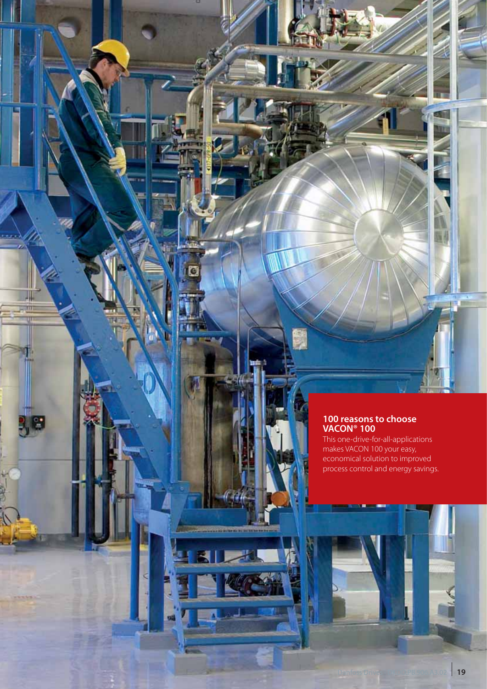### **100 reasons to choose VACON® 100**

G

 $\sim$ 

**SH** 

This one-drive-for-all-applications makes VACON 100 your easy, economical solution to improved process control and energy savings.